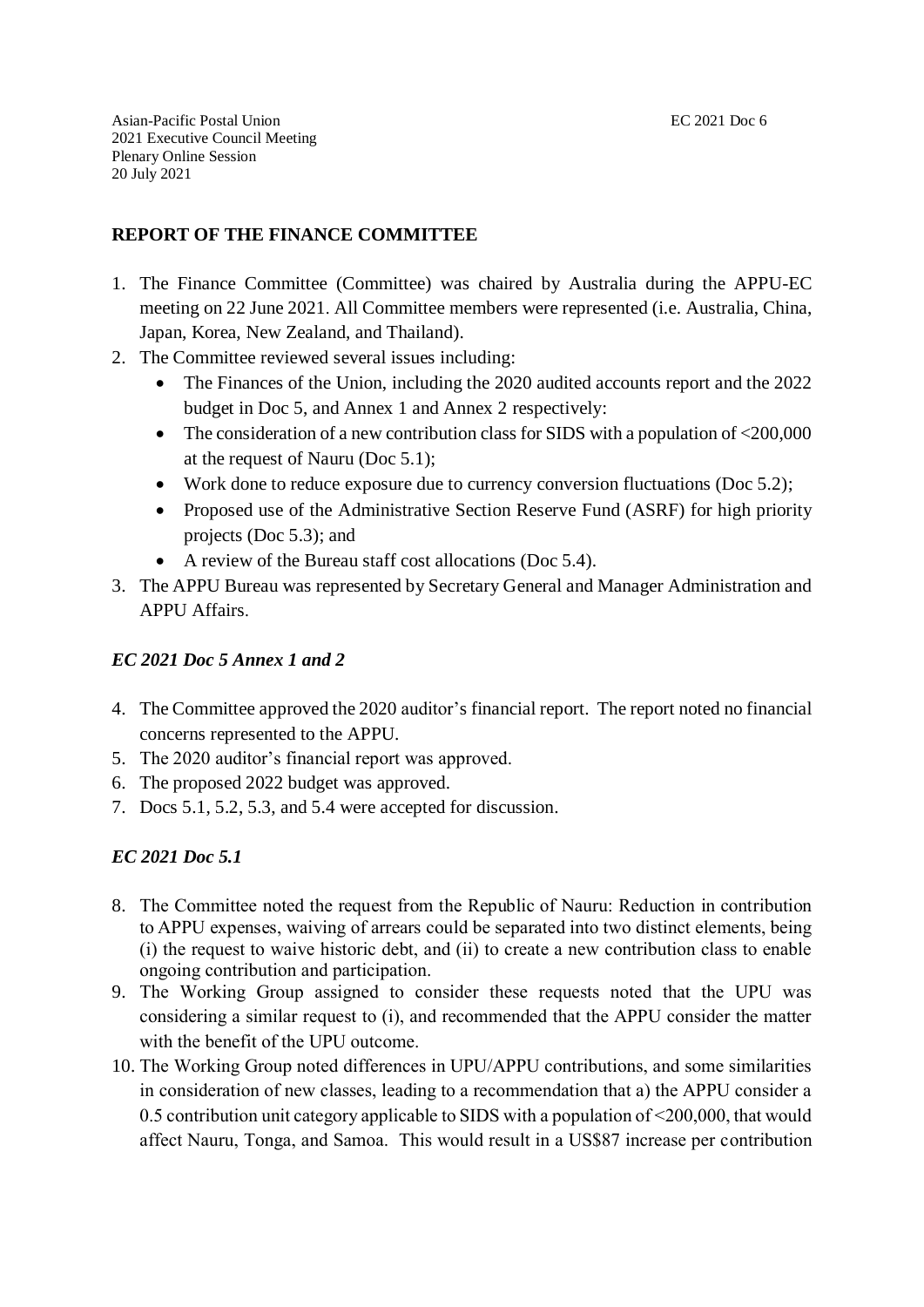## **REPORT OF THE FINANCE COMMITTEE**

- 1. The Finance Committee (Committee) was chaired by Australia during the APPU-EC meeting on 22 June 2021. All Committee members were represented (i.e. Australia, China, Japan, Korea, New Zealand, and Thailand).
- 2. The Committee reviewed several issues including:
	- The Finances of the Union, including the 2020 audited accounts report and the 2022 budget in Doc 5, and Annex 1 and Annex 2 respectively:
	- The consideration of a new contribution class for SIDS with a population of  $\langle 200,000 \rangle$ at the request of Nauru (Doc 5.1);
	- Work done to reduce exposure due to currency conversion fluctuations (Doc 5.2);
	- Proposed use of the Administrative Section Reserve Fund (ASRF) for high priority projects (Doc 5.3); and
	- A review of the Bureau staff cost allocations (Doc 5.4).
- 3. The APPU Bureau was represented by Secretary General and Manager Administration and APPU Affairs.

#### *EC 2021 Doc 5 Annex 1 and 2*

- 4. The Committee approved the 2020 auditor's financial report. The report noted no financial concerns represented to the APPU.
- 5. The 2020 auditor's financial report was approved.
- 6. The proposed 2022 budget was approved.
- 7. Docs 5.1, 5.2, 5.3, and 5.4 were accepted for discussion.

#### *EC 2021 Doc 5.1*

- 8. The Committee noted the request from the Republic of Nauru: Reduction in contribution to APPU expenses, waiving of arrears could be separated into two distinct elements, being (i) the request to waive historic debt, and (ii) to create a new contribution class to enable ongoing contribution and participation.
- 9. The Working Group assigned to consider these requests noted that the UPU was considering a similar request to (i), and recommended that the APPU consider the matter with the benefit of the UPU outcome.
- 10. The Working Group noted differences in UPU/APPU contributions, and some similarities in consideration of new classes, leading to a recommendation that a) the APPU consider a 0.5 contribution unit category applicable to SIDS with a population of <200,000, that would affect Nauru, Tonga, and Samoa. This would result in a US\$87 increase per contribution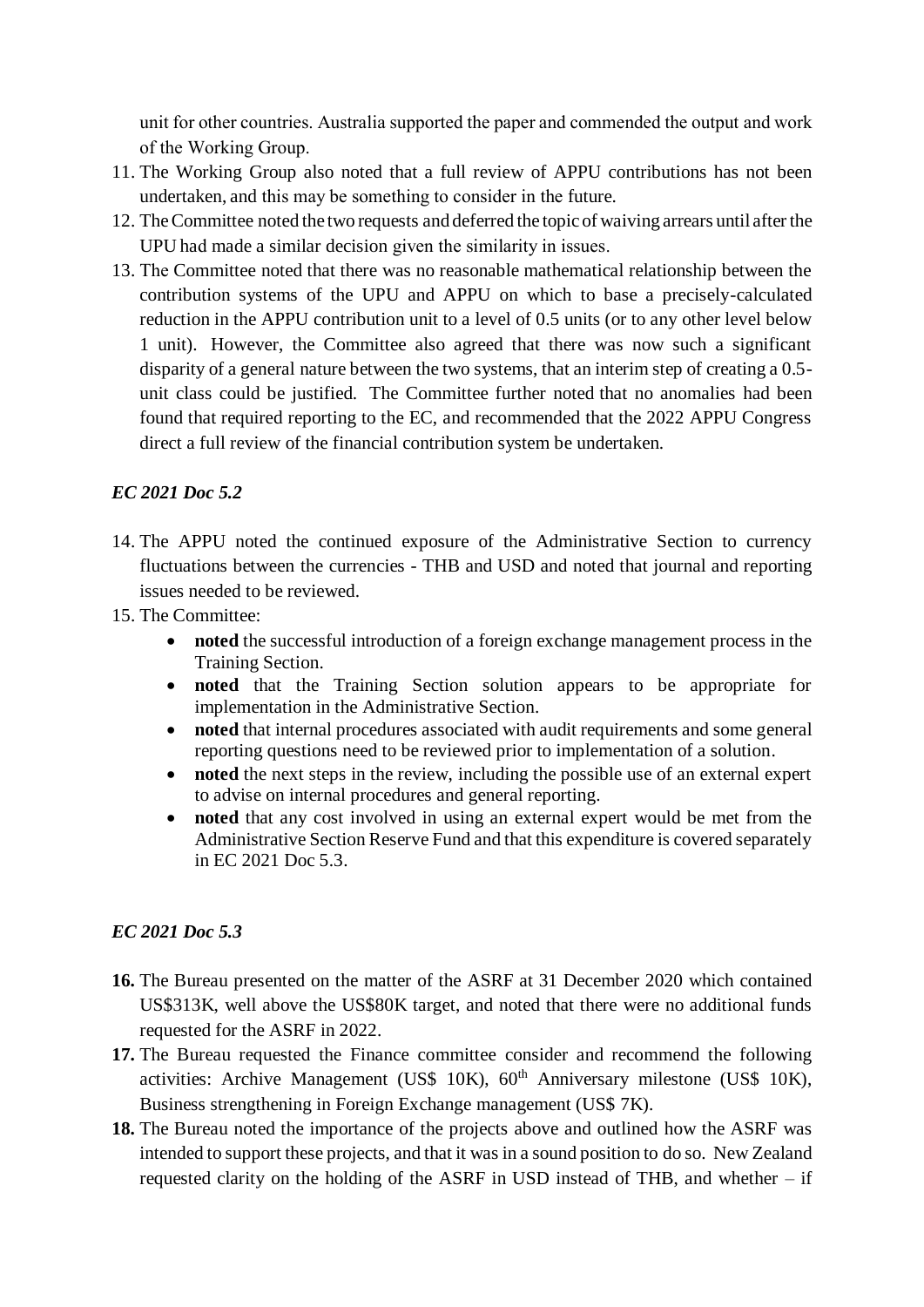unit for other countries. Australia supported the paper and commended the output and work of the Working Group.

- 11. The Working Group also noted that a full review of APPU contributions has not been undertaken, and this may be something to consider in the future.
- 12. TheCommittee noted the two requests and deferred the topic of waiving arrears until after the UPU had made a similar decision given the similarity in issues.
- 13. The Committee noted that there was no reasonable mathematical relationship between the contribution systems of the UPU and APPU on which to base a precisely-calculated reduction in the APPU contribution unit to a level of 0.5 units (or to any other level below 1 unit). However, the Committee also agreed that there was now such a significant disparity of a general nature between the two systems, that an interim step of creating a 0.5 unit class could be justified. The Committee further noted that no anomalies had been found that required reporting to the EC, and recommended that the 2022 APPU Congress direct a full review of the financial contribution system be undertaken.

## *EC 2021 Doc 5.2*

- 14. The APPU noted the continued exposure of the Administrative Section to currency fluctuations between the currencies - THB and USD and noted that journal and reporting issues needed to be reviewed.
- 15. The Committee:
	- **noted** the successful introduction of a foreign exchange management process in the Training Section.
	- **noted** that the Training Section solution appears to be appropriate for implementation in the Administrative Section.
	- **noted** that internal procedures associated with audit requirements and some general reporting questions need to be reviewed prior to implementation of a solution.
	- **noted** the next steps in the review, including the possible use of an external expert to advise on internal procedures and general reporting.
	- **noted** that any cost involved in using an external expert would be met from the Administrative Section Reserve Fund and that this expenditure is covered separately in EC 2021 Doc 5.3.

### *EC 2021 Doc 5.3*

- **16.** The Bureau presented on the matter of the ASRF at 31 December 2020 which contained US\$313K, well above the US\$80K target, and noted that there were no additional funds requested for the ASRF in 2022.
- **17.** The Bureau requested the Finance committee consider and recommend the following activities: Archive Management (US\$  $10K$ ),  $60<sup>th</sup>$  Anniversary milestone (US\$  $10K$ ), Business strengthening in Foreign Exchange management (US\$ 7K).
- **18.** The Bureau noted the importance of the projects above and outlined how the ASRF was intended to support these projects, and that it was in a sound position to do so. New Zealand requested clarity on the holding of the ASRF in USD instead of THB, and whether – if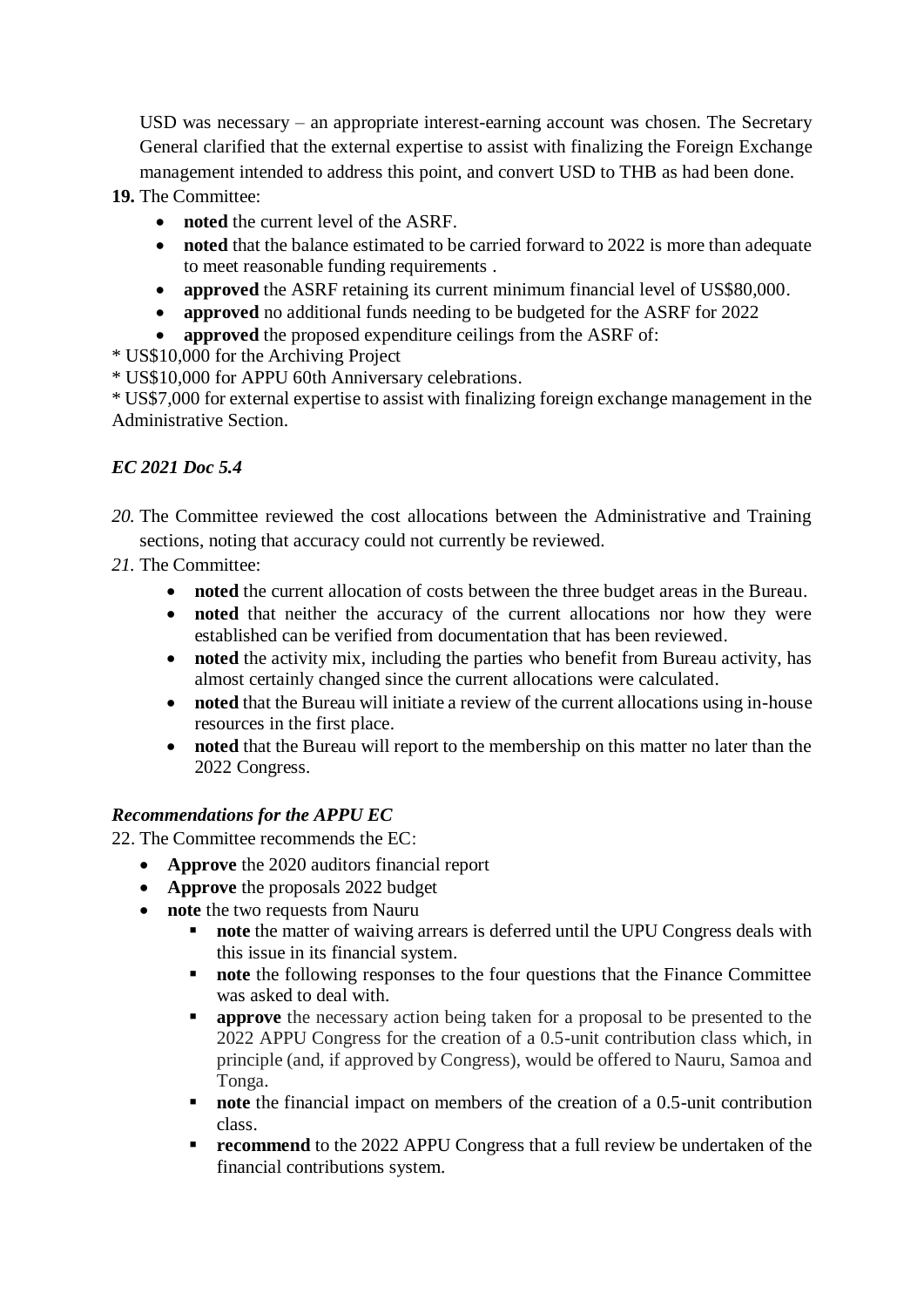USD was necessary – an appropriate interest-earning account was chosen. The Secretary General clarified that the external expertise to assist with finalizing the Foreign Exchange management intended to address this point, and convert USD to THB as had been done.

**19.** The Committee:

- **noted** the current level of the ASRF.
- **noted** that the balance estimated to be carried forward to 2022 is more than adequate to meet reasonable funding requirements .
- **approved** the ASRF retaining its current minimum financial level of US\$80,000.
- **approved** no additional funds needing to be budgeted for the ASRF for 2022
- **approved** the proposed expenditure ceilings from the ASRF of:

\* US\$10,000 for the Archiving Project

\* US\$10,000 for APPU 60th Anniversary celebrations.

\* US\$7,000 for external expertise to assist with finalizing foreign exchange management in the Administrative Section.

# *EC 2021 Doc 5.4*

- *20.* The Committee reviewed the cost allocations between the Administrative and Training sections, noting that accuracy could not currently be reviewed.
- *21.* The Committee:
	- **noted** the current allocation of costs between the three budget areas in the Bureau.
	- **noted** that neither the accuracy of the current allocations nor how they were established can be verified from documentation that has been reviewed.
	- **noted** the activity mix, including the parties who benefit from Bureau activity, has almost certainly changed since the current allocations were calculated.
	- **noted** that the Bureau will initiate a review of the current allocations using in-house resources in the first place.
	- **noted** that the Bureau will report to the membership on this matter no later than the 2022 Congress.

# *Recommendations for the APPU EC*

22. The Committee recommends the EC:

- **Approve** the 2020 auditors financial report
- **Approve** the proposals 2022 budget
- **note** the two requests from Nauru
	- **note** the matter of waiving arrears is deferred until the UPU Congress deals with this issue in its financial system.
	- **note** the following responses to the four questions that the Finance Committee was asked to deal with.
	- **approve** the necessary action being taken for a proposal to be presented to the 2022 APPU Congress for the creation of a 0.5-unit contribution class which, in principle (and, if approved by Congress), would be offered to Nauru, Samoa and Tonga.
	- **note** the financial impact on members of the creation of a 0.5-unit contribution class.
	- **recommend** to the 2022 APPU Congress that a full review be undertaken of the financial contributions system.